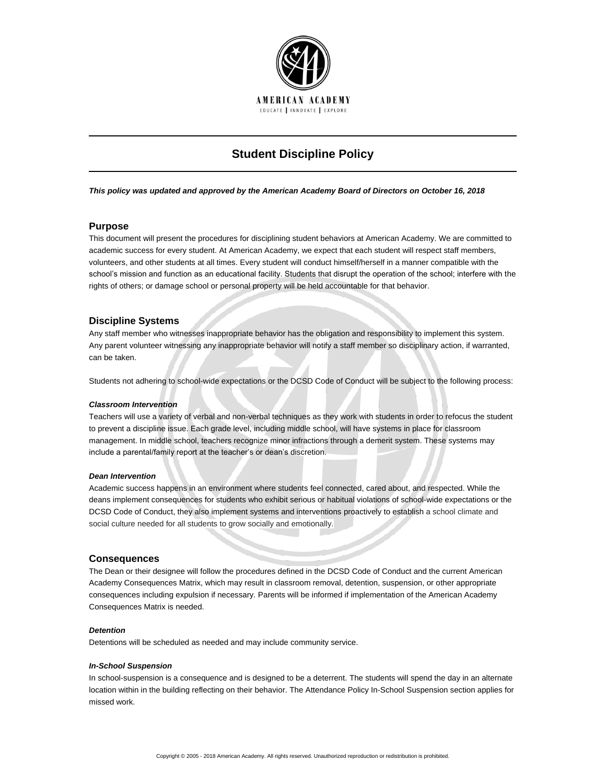

# **Student Discipline Policy**

*This policy was updated and approved by the American Academy Board of Directors on October 16, 2018*

# **Purpose**

This document will present the procedures for disciplining student behaviors at American Academy. We are committed to academic success for every student. At American Academy, we expect that each student will respect staff members, volunteers, and other students at all times. Every student will conduct himself/herself in a manner compatible with the school's mission and function as an educational facility. Students that disrupt the operation of the school; interfere with the rights of others; or damage school or personal property will be held accountable for that behavior.

# **Discipline Systems**

Any staff member who witnesses inappropriate behavior has the obligation and responsibility to implement this system. Any parent volunteer witnessing any inappropriate behavior will notify a staff member so disciplinary action, if warranted, can be taken.

Students not adhering to school-wide expectations or the DCSD Code of Conduct will be subject to the following process:

## *Classroom Intervention*

Teachers will use a variety of verbal and non-verbal techniques as they work with students in order to refocus the student to prevent a discipline issue. Each grade level, including middle school, will have systems in place for classroom management. In middle school, teachers recognize minor infractions through a demerit system. These systems may include a parental/family report at the teacher's or dean's discretion.

#### *Dean Intervention*

Academic success happens in an environment where students feel connected, cared about, and respected. While the deans implement consequences for students who exhibit serious or habitual violations of school-wide expectations or the DCSD Code of Conduct, they also implement systems and interventions proactively to establish a school climate and social culture needed for all students to grow socially and emotionally.

## **Consequences**

The Dean or their designee will follow the procedures defined in the DCSD Code of Conduct and the current American Academy Consequences Matrix, which may result in classroom removal, detention, suspension, or other appropriate consequences including expulsion if necessary. Parents will be informed if implementation of the American Academy Consequences Matrix is needed.

## *Detention*

Detentions will be scheduled as needed and may include community service.

## *In-School Suspension*

In school-suspension is a consequence and is designed to be a deterrent. The students will spend the day in an alternate location within in the building reflecting on their behavior. The Attendance Policy In-School Suspension section applies for missed work.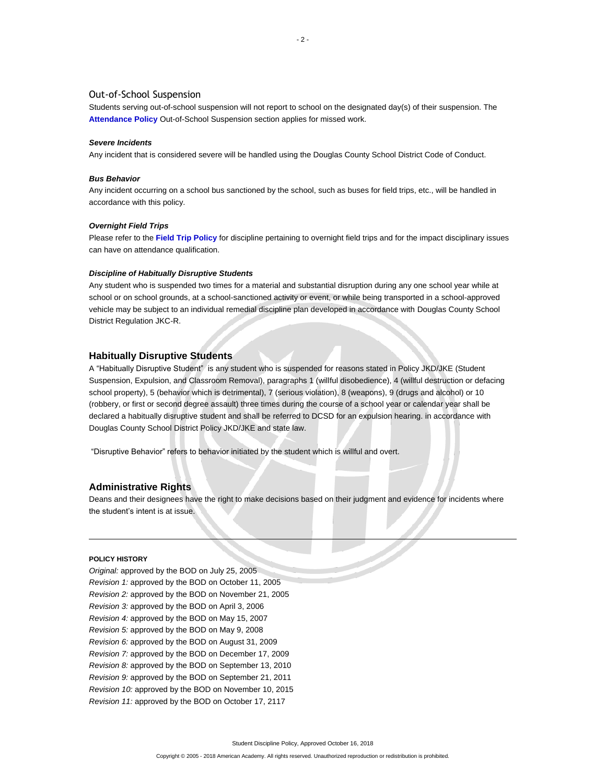## Out-of-School Suspension

Students serving out-of-school suspension will not report to school on the designated day(s) of their suspension. The **[Attendance Policy](http://www.americanacademyk8.org/aastaffhome/bod/policies/AttendancePolicy.pdf)** Out-of-School Suspension section applies for missed work.

#### *Severe Incidents*

Any incident that is considered severe will be handled using the Douglas County School District Code of Conduct.

## *Bus Behavior*

Any incident occurring on a school bus sanctioned by the school, such as buses for field trips, etc., will be handled in accordance with this policy.

#### *Overnight Field Trips*

Please refer to the **[Field Trip Policy](http://www.americanacademyk8.org/aastaffhome/bod/policies/FieldTripPolicy.pdf)** for discipline pertaining to overnight field trips and for the impact disciplinary issues can have on attendance qualification.

#### *Discipline of Habitually Disruptive Students*

Any student who is suspended two times for a material and substantial disruption during any one school year while at school or on school grounds, at a school-sanctioned activity or event, or while being transported in a school-approved vehicle may be subject to an individual remedial discipline plan developed in accordance with Douglas County School District Regulation JKC-R.

#### **Habitually Disruptive Students**

A "Habitually Disruptive Student" is any student who is suspended for reasons stated in Policy JKD/JKE (Student Suspension, Expulsion, and Classroom Removal), paragraphs 1 (willful disobedience), 4 (willful destruction or defacing school property), 5 (behavior which is detrimental), 7 (serious violation), 8 (weapons), 9 (drugs and alcohol) or 10 (robbery, or first or second degree assault) three times during the course of a school year or calendar year shall be declared a habitually disruptive student and shall be referred to DCSD for an expulsion hearing. in accordance with Douglas County School District Policy JKD/JKE and state law.

"Disruptive Behavior" refers to behavior initiated by the student which is willful and overt.

#### **Administrative Rights**

Deans and their designees have the right to make decisions based on their judgment and evidence for incidents where the student's intent is at issue.

#### **POLICY HISTORY**

*Original:* approved by the BOD on July 25, 2005 *Revision 1:* approved by the BOD on October 11, 2005 *Revision 2:* approved by the BOD on November 21, 2005 *Revision 3:* approved by the BOD on April 3, 2006 *Revision 4:* approved by the BOD on May 15, 2007 *Revision 5:* approved by the BOD on May 9, 2008 *Revision 6:* approved by the BOD on August 31, 2009 *Revision 7:* approved by the BOD on December 17, 2009 *Revision 8:* approved by the BOD on September 13, 2010 *Revision 9:* approved by the BOD on September 21, 2011 *Revision 10:* approved by the BOD on November 10, 2015 *Revision 11:* approved by the BOD on October 17, 2117

Student Discipline Policy, Approved October 16, 2018